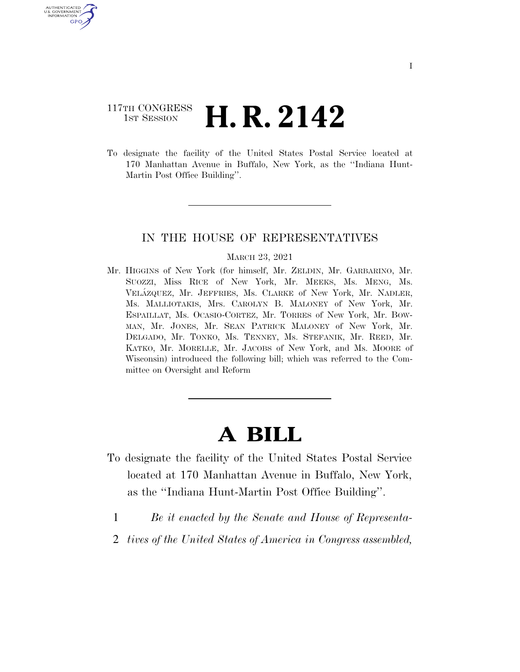### 117TH CONGRESS  $\frac{1}{15T}$  Session **H. R. 2142**

U.S. GOVERNMENT GPO

> To designate the facility of the United States Postal Service located at 170 Manhattan Avenue in Buffalo, New York, as the ''Indiana Hunt-Martin Post Office Building''.

#### IN THE HOUSE OF REPRESENTATIVES

#### MARCH 23, 2021

Mr. HIGGINS of New York (for himself, Mr. ZELDIN, Mr. GARBARINO, Mr. SUOZZI, Miss RICE of New York, Mr. MEEKS, Ms. MENG, Ms. VELA´ZQUEZ, Mr. JEFFRIES, Ms. CLARKE of New York, Mr. NADLER, Ms. MALLIOTAKIS, Mrs. CAROLYN B. MALONEY of New York, Mr. ESPAILLAT, Ms. OCASIO-CORTEZ, Mr. TORRES of New York, Mr. BOW-MAN, Mr. JONES, Mr. SEAN PATRICK MALONEY of New York, Mr. DELGADO, Mr. TONKO, Ms. TENNEY, Ms. STEFANIK, Mr. REED, Mr. KATKO, Mr. MORELLE, Mr. JACOBS of New York, and Ms. MOORE of Wisconsin) introduced the following bill; which was referred to the Committee on Oversight and Reform

# **A BILL**

- To designate the facility of the United States Postal Service located at 170 Manhattan Avenue in Buffalo, New York, as the ''Indiana Hunt-Martin Post Office Building''.
	- 1 *Be it enacted by the Senate and House of Representa-*
	- 2 *tives of the United States of America in Congress assembled,*